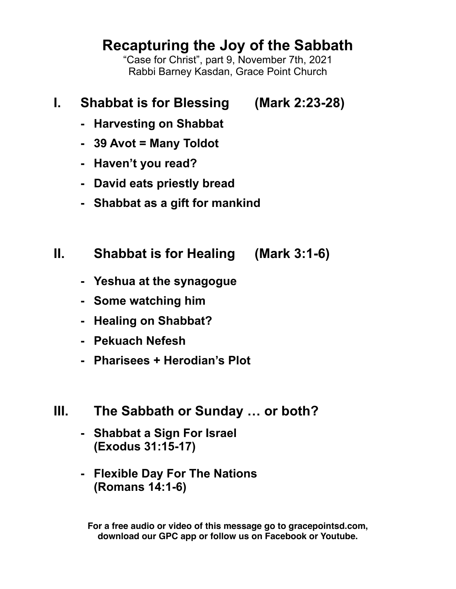# **Recapturing the Joy of the Sabbath**

"Case for Christ", part 9, November 7th, 2021 Rabbi Barney Kasdan, Grace Point Church

## **I. Shabbat is for Blessing (Mark 2:23-28)**

- **- Harvesting on Shabbat**
- **- 39 Avot = Many Toldot**
- **- Haven't you read?**
- **- David eats priestly bread**
- **- Shabbat as a gift for mankind**
- **II. Shabbat is for Healing (Mark 3:1-6)**
	- **- Yeshua at the synagogue**
	- **- Some watching him**
	- **- Healing on Shabbat?**
	- **- Pekuach Nefesh**
	- **- Pharisees + Herodian's Plot**
- **III. The Sabbath or Sunday … or both?**
	- **- Shabbat a Sign For Israel (Exodus 31:15-17)**
	- **- Flexible Day For The Nations (Romans 14:1-6)**

**For a free audio or video of this message go to gracepointsd.com, download our GPC app or follow us on Facebook or Youtube.**